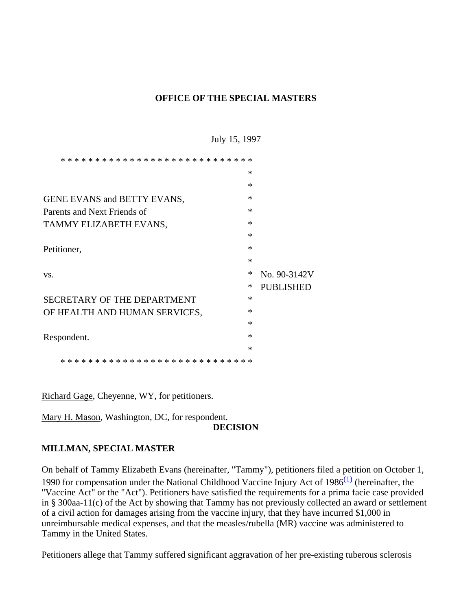## **OFFICE OF THE SPECIAL MASTERS**

July 15, 1997

| * * * * * * * * *<br>* * * *               | ж      |                  |
|--------------------------------------------|--------|------------------|
|                                            | $\ast$ |                  |
|                                            | $\ast$ |                  |
| GENE EVANS and BETTY EVANS,                | $\ast$ |                  |
| Parents and Next Friends of                | $\ast$ |                  |
| TAMMY ELIZABETH EVANS,                     | $\ast$ |                  |
|                                            | $\ast$ |                  |
| Petitioner,                                | $\ast$ |                  |
|                                            | $\ast$ |                  |
| VS.                                        | ∗      | No. 90-3142V     |
|                                            | ∗      | <b>PUBLISHED</b> |
| SECRETARY OF THE DEPARTMENT                | $\ast$ |                  |
| OF HEALTH AND HUMAN SERVICES,              | $\ast$ |                  |
|                                            | $\ast$ |                  |
| Respondent.                                | $\ast$ |                  |
|                                            | $\ast$ |                  |
| * * * * * * * * * * * * * * * * *<br>$* *$ |        |                  |

Richard Gage, Cheyenne, WY, for petitioners.

Mary H. Mason, Washington, DC, for respondent.

#### **DECISION**

# **MILLMAN, SPECIAL MASTER**

On behalf of Tammy Elizabeth Evans (hereinafter, "Tammy"), petitioners filed a petition on October 1, 1990 for compensation under the National Childhood Vaccine Injury Act of 1986 $(1)$  (hereinafter, the "Vaccine Act" or the "Act"). Petitioners have satisfied the requirements for a prima facie case provided in § 300aa-11(c) of the Act by showing that Tammy has not previously collected an award or settlement of a civil action for damages arising from the vaccine injury, that they have incurred \$1,000 in unreimbursable medical expenses, and that the measles/rubella (MR) vaccine was administered to Tammy in the United States.

Petitioners allege that Tammy suffered significant aggravation of her pre-existing tuberous sclerosis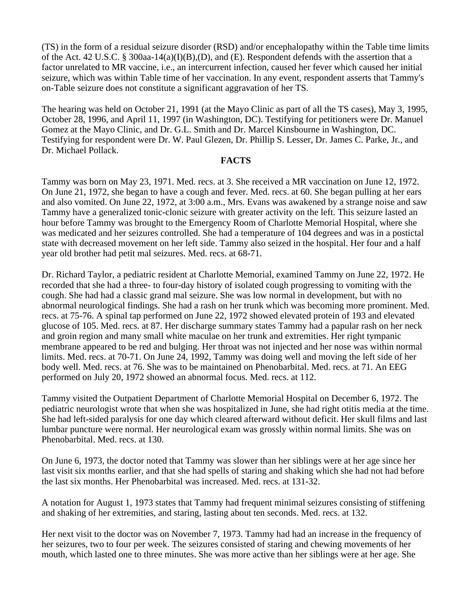(TS) in the form of a residual seizure disorder (RSD) and/or encephalopathy within the Table time limits of the Act. 42 U.S.C. § 300aa-14(a)(I)(B),(D), and (E). Respondent defends with the assertion that a factor unrelated to MR vaccine, i.e., an intercurrent infection, caused her fever which caused her initial seizure, which was within Table time of her vaccination. In any event, respondent asserts that Tammy's on-Table seizure does not constitute a significant aggravation of her TS.

The hearing was held on October 21, 1991 (at the Mayo Clinic as part of all the TS cases), May 3, 1995, October 28, 1996, and April 11, 1997 (in Washington, DC). Testifying for petitioners were Dr. Manuel Gomez at the Mayo Clinic, and Dr. G.L. Smith and Dr. Marcel Kinsbourne in Washington, DC. Testifying for respondent were Dr. W. Paul Glezen, Dr. Phillip S. Lesser, Dr. James C. Parke, Jr., and Dr. Michael Pollack.

#### **FACTS**

Tammy was born on May 23, 1971. Med. recs. at 3. She received a MR vaccination on June 12, 1972. On June 21, 1972, she began to have a cough and fever. Med. recs. at 60. She began pulling at her ears and also vomited. On June 22, 1972, at 3:00 a.m., Mrs. Evans was awakened by a strange noise and saw Tammy have a generalized tonic-clonic seizure with greater activity on the left. This seizure lasted an hour before Tammy was brought to the Emergency Room of Charlotte Memorial Hospital, where she was medicated and her seizures controlled. She had a temperature of 104 degrees and was in a postictal state with decreased movement on her left side. Tammy also seized in the hospital. Her four and a half year old brother had petit mal seizures. Med. recs. at 68-71.

Dr. Richard Taylor, a pediatric resident at Charlotte Memorial, examined Tammy on June 22, 1972. He recorded that she had a three- to four-day history of isolated cough progressing to vomiting with the cough. She had had a classic grand mal seizure. She was low normal in development, but with no abnormal neurological findings. She had a rash on her trunk which was becoming more prominent. Med. recs. at 75-76. A spinal tap performed on June 22, 1972 showed elevated protein of 193 and elevated glucose of 105. Med. recs. at 87. Her discharge summary states Tammy had a papular rash on her neck and groin region and many small white maculae on her trunk and extremities. Her right tympanic membrane appeared to be red and bulging. Her throat was not injected and her nose was within normal limits. Med. recs. at 70-71. On June 24, 1992, Tammy was doing well and moving the left side of her body well. Med. recs. at 76. She was to be maintained on Phenobarbital. Med. recs. at 71. An EEG performed on July 20, 1972 showed an abnormal focus. Med. recs. at 112.

Tammy visited the Outpatient Department of Charlotte Memorial Hospital on December 6, 1972. The pediatric neurologist wrote that when she was hospitalized in June, she had right otitis media at the time. She had left-sided paralysis for one day which cleared afterward without deficit. Her skull films and last lumbar puncture were normal. Her neurological exam was grossly within normal limits. She was on Phenobarbital. Med. recs. at 130.

On June 6, 1973, the doctor noted that Tammy was slower than her siblings were at her age since her last visit six months earlier, and that she had spells of staring and shaking which she had not had before the last six months. Her Phenobarbital was increased. Med. recs. at 131-32.

A notation for August 1, 1973 states that Tammy had frequent minimal seizures consisting of stiffening and shaking of her extremities, and staring, lasting about ten seconds. Med. recs. at 132.

Her next visit to the doctor was on November 7, 1973. Tammy had had an increase in the frequency of her seizures, two to four per week. The seizures consisted of staring and chewing movements of her mouth, which lasted one to three minutes. She was more active than her siblings were at her age. She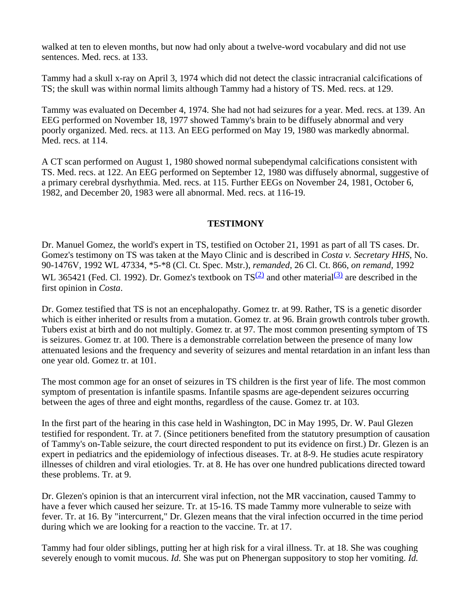walked at ten to eleven months, but now had only about a twelve-word vocabulary and did not use sentences. Med. recs. at 133.

Tammy had a skull x-ray on April 3, 1974 which did not detect the classic intracranial calcifications of TS; the skull was within normal limits although Tammy had a history of TS. Med. recs. at 129.

Tammy was evaluated on December 4, 1974. She had not had seizures for a year. Med. recs. at 139. An EEG performed on November 18, 1977 showed Tammy's brain to be diffusely abnormal and very poorly organized. Med. recs. at 113. An EEG performed on May 19, 1980 was markedly abnormal. Med. recs. at 114.

A CT scan performed on August 1, 1980 showed normal subependymal calcifications consistent with TS. Med. recs. at 122. An EEG performed on September 12, 1980 was diffusely abnormal, suggestive of a primary cerebral dysrhythmia. Med. recs. at 115. Further EEGs on November 24, 1981, October 6, 1982, and December 20, 1983 were all abnormal. Med. recs. at 116-19.

### **TESTIMONY**

Dr. Manuel Gomez, the world's expert in TS, testified on October 21, 1991 as part of all TS cases. Dr. Gomez's testimony on TS was taken at the Mayo Clinic and is described in *Costa v. Secretary HHS*, No. 90-1476V, 1992 WL 47334, \*5-\*8 (Cl. Ct. Spec. Mstr.), *remanded*, 26 Cl. Ct. 866, *on remand*, 1992 WL 365421 (Fed. Cl. 1992). Dr. Gomez's textbook on  $TS^{(2)}$  and other material<sup>(3)</sup> are described in the first opinion in *Costa*.

Dr. Gomez testified that TS is not an encephalopathy. Gomez tr. at 99. Rather, TS is a genetic disorder which is either inherited or results from a mutation. Gomez tr. at 96. Brain growth controls tuber growth. Tubers exist at birth and do not multiply. Gomez tr. at 97. The most common presenting symptom of TS is seizures. Gomez tr. at 100. There is a demonstrable correlation between the presence of many low attenuated lesions and the frequency and severity of seizures and mental retardation in an infant less than one year old. Gomez tr. at 101.

The most common age for an onset of seizures in TS children is the first year of life. The most common symptom of presentation is infantile spasms. Infantile spasms are age-dependent seizures occurring between the ages of three and eight months, regardless of the cause. Gomez tr. at 103.

In the first part of the hearing in this case held in Washington, DC in May 1995, Dr. W. Paul Glezen testified for respondent. Tr. at 7. (Since petitioners benefited from the statutory presumption of causation of Tammy's on-Table seizure, the court directed respondent to put its evidence on first.) Dr. Glezen is an expert in pediatrics and the epidemiology of infectious diseases. Tr. at 8-9. He studies acute respiratory illnesses of children and viral etiologies. Tr. at 8. He has over one hundred publications directed toward these problems. Tr. at 9.

Dr. Glezen's opinion is that an intercurrent viral infection, not the MR vaccination, caused Tammy to have a fever which caused her seizure. Tr. at 15-16. TS made Tammy more vulnerable to seize with fever. Tr. at 16. By "intercurrent," Dr. Glezen means that the viral infection occurred in the time period during which we are looking for a reaction to the vaccine. Tr. at 17.

Tammy had four older siblings, putting her at high risk for a viral illness. Tr. at 18. She was coughing severely enough to vomit mucous. *Id.* She was put on Phenergan suppository to stop her vomiting. *Id.*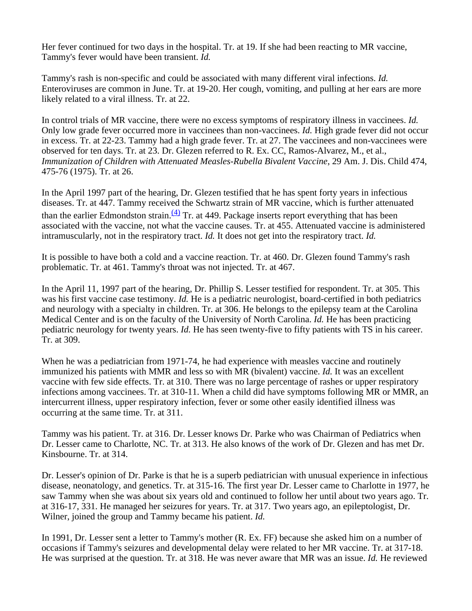Her fever continued for two days in the hospital. Tr. at 19. If she had been reacting to MR vaccine, Tammy's fever would have been transient. *Id.*

Tammy's rash is non-specific and could be associated with many different viral infections. *Id.* Enteroviruses are common in June. Tr. at 19-20. Her cough, vomiting, and pulling at her ears are more likely related to a viral illness. Tr. at 22.

In control trials of MR vaccine, there were no excess symptoms of respiratory illness in vaccinees. *Id.* Only low grade fever occurred more in vaccinees than non-vaccinees. *Id.* High grade fever did not occur in excess. Tr. at 22-23. Tammy had a high grade fever. Tr. at 27. The vaccinees and non-vaccinees were observed for ten days. Tr. at 23. Dr. Glezen referred to R. Ex. CC, Ramos-Alvarez, M., et al., *Immunization of Children with Attenuated Measles-Rubella Bivalent Vaccine*, 29 Am. J. Dis. Child 474, 475-76 (1975). Tr. at 26.

In the April 1997 part of the hearing, Dr. Glezen testified that he has spent forty years in infectious diseases. Tr. at 447. Tammy received the Schwartz strain of MR vaccine, which is further attenuated than the earlier Edmondston strain.  $(4)$  Tr. at 449. Package inserts report everything that has been associated with the vaccine, not what the vaccine causes. Tr. at 455. Attenuated vaccine is administered intramuscularly, not in the respiratory tract. *Id.* It does not get into the respiratory tract. *Id.*

It is possible to have both a cold and a vaccine reaction. Tr. at 460. Dr. Glezen found Tammy's rash problematic. Tr. at 461. Tammy's throat was not injected. Tr. at 467.

In the April 11, 1997 part of the hearing, Dr. Phillip S. Lesser testified for respondent. Tr. at 305. This was his first vaccine case testimony. *Id.* He is a pediatric neurologist, board-certified in both pediatrics and neurology with a specialty in children. Tr. at 306. He belongs to the epilepsy team at the Carolina Medical Center and is on the faculty of the University of North Carolina. *Id.* He has been practicing pediatric neurology for twenty years. *Id.* He has seen twenty-five to fifty patients with TS in his career. Tr. at 309.

When he was a pediatrician from 1971-74, he had experience with measles vaccine and routinely immunized his patients with MMR and less so with MR (bivalent) vaccine. *Id.* It was an excellent vaccine with few side effects. Tr. at 310. There was no large percentage of rashes or upper respiratory infections among vaccinees. Tr. at 310-11. When a child did have symptoms following MR or MMR, an intercurrent illness, upper respiratory infection, fever or some other easily identified illness was occurring at the same time. Tr. at 311.

Tammy was his patient. Tr. at 316. Dr. Lesser knows Dr. Parke who was Chairman of Pediatrics when Dr. Lesser came to Charlotte, NC. Tr. at 313. He also knows of the work of Dr. Glezen and has met Dr. Kinsbourne. Tr. at 314.

Dr. Lesser's opinion of Dr. Parke is that he is a superb pediatrician with unusual experience in infectious disease, neonatology, and genetics. Tr. at 315-16. The first year Dr. Lesser came to Charlotte in 1977, he saw Tammy when she was about six years old and continued to follow her until about two years ago. Tr. at 316-17, 331. He managed her seizures for years. Tr. at 317. Two years ago, an epileptologist, Dr. Wilner, joined the group and Tammy became his patient. *Id.*

In 1991, Dr. Lesser sent a letter to Tammy's mother (R. Ex. FF) because she asked him on a number of occasions if Tammy's seizures and developmental delay were related to her MR vaccine. Tr. at 317-18. He was surprised at the question. Tr. at 318. He was never aware that MR was an issue. *Id.* He reviewed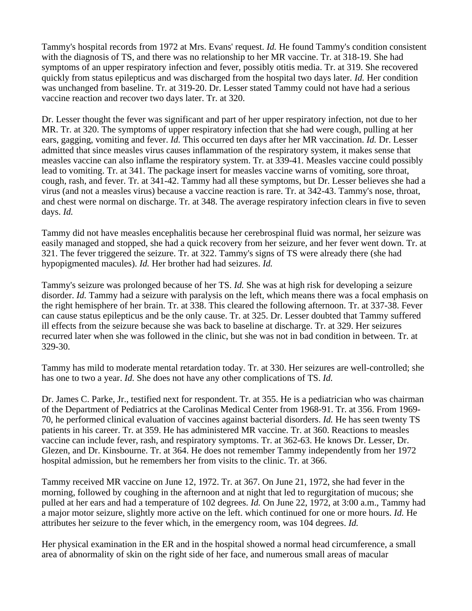Tammy's hospital records from 1972 at Mrs. Evans' request. *Id.* He found Tammy's condition consistent with the diagnosis of TS, and there was no relationship to her MR vaccine. Tr. at 318-19. She had symptoms of an upper respiratory infection and fever, possibly otitis media. Tr. at 319. She recovered quickly from status epilepticus and was discharged from the hospital two days later. *Id.* Her condition was unchanged from baseline. Tr. at 319-20. Dr. Lesser stated Tammy could not have had a serious vaccine reaction and recover two days later. Tr. at 320.

Dr. Lesser thought the fever was significant and part of her upper respiratory infection, not due to her MR. Tr. at 320. The symptoms of upper respiratory infection that she had were cough, pulling at her ears, gagging, vomiting and fever. *Id.* This occurred ten days after her MR vaccination. *Id.* Dr. Lesser admitted that since measles virus causes inflammation of the respiratory system, it makes sense that measles vaccine can also inflame the respiratory system. Tr. at 339-41. Measles vaccine could possibly lead to vomiting. Tr. at 341. The package insert for measles vaccine warns of vomiting, sore throat, cough, rash, and fever. Tr. at 341-42. Tammy had all these symptoms, but Dr. Lesser believes she had a virus (and not a measles virus) because a vaccine reaction is rare. Tr. at 342-43. Tammy's nose, throat, and chest were normal on discharge. Tr. at 348. The average respiratory infection clears in five to seven days. *Id.*

Tammy did not have measles encephalitis because her cerebrospinal fluid was normal, her seizure was easily managed and stopped, she had a quick recovery from her seizure, and her fever went down. Tr. at 321. The fever triggered the seizure. Tr. at 322. Tammy's signs of TS were already there (she had hypopigmented macules). *Id.* Her brother had had seizures. *Id.*

Tammy's seizure was prolonged because of her TS. *Id.* She was at high risk for developing a seizure disorder. *Id.* Tammy had a seizure with paralysis on the left, which means there was a focal emphasis on the right hemisphere of her brain. Tr. at 338. This cleared the following afternoon. Tr. at 337-38. Fever can cause status epilepticus and be the only cause. Tr. at 325. Dr. Lesser doubted that Tammy suffered ill effects from the seizure because she was back to baseline at discharge. Tr. at 329. Her seizures recurred later when she was followed in the clinic, but she was not in bad condition in between. Tr. at 329-30.

Tammy has mild to moderate mental retardation today. Tr. at 330. Her seizures are well-controlled; she has one to two a year. *Id.* She does not have any other complications of TS. *Id.*

Dr. James C. Parke, Jr., testified next for respondent. Tr. at 355. He is a pediatrician who was chairman of the Department of Pediatrics at the Carolinas Medical Center from 1968-91. Tr. at 356. From 1969- 70, he performed clinical evaluation of vaccines against bacterial disorders. *Id.* He has seen twenty TS patients in his career. Tr. at 359. He has administered MR vaccine. Tr. at 360. Reactions to measles vaccine can include fever, rash, and respiratory symptoms. Tr. at 362-63. He knows Dr. Lesser, Dr. Glezen, and Dr. Kinsbourne. Tr. at 364. He does not remember Tammy independently from her 1972 hospital admission, but he remembers her from visits to the clinic. Tr. at 366.

Tammy received MR vaccine on June 12, 1972. Tr. at 367. On June 21, 1972, she had fever in the morning, followed by coughing in the afternoon and at night that led to regurgitation of mucous; she pulled at her ears and had a temperature of 102 degrees. *Id.* On June 22, 1972, at 3:00 a.m., Tammy had a major motor seizure, slightly more active on the left. which continued for one or more hours. *Id.* He attributes her seizure to the fever which, in the emergency room, was 104 degrees. *Id.*

Her physical examination in the ER and in the hospital showed a normal head circumference, a small area of abnormality of skin on the right side of her face, and numerous small areas of macular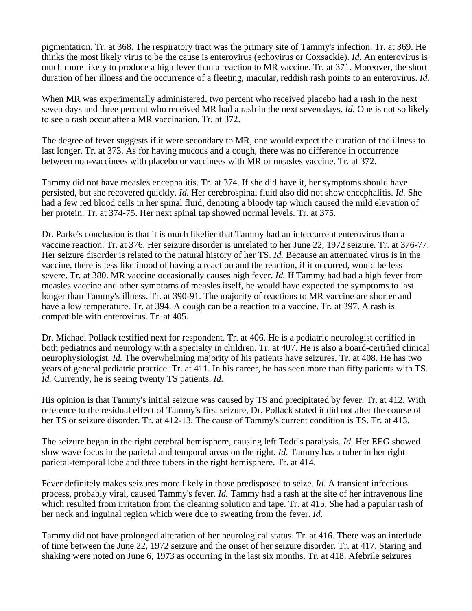pigmentation. Tr. at 368. The respiratory tract was the primary site of Tammy's infection. Tr. at 369. He thinks the most likely virus to be the cause is enterovirus (echovirus or Coxsackie). *Id.* An enterovirus is much more likely to produce a high fever than a reaction to MR vaccine. Tr. at 371. Moreover, the short duration of her illness and the occurrence of a fleeting, macular, reddish rash points to an enterovirus. *Id.*

When MR was experimentally administered, two percent who received placebo had a rash in the next seven days and three percent who received MR had a rash in the next seven days. *Id.* One is not so likely to see a rash occur after a MR vaccination. Tr. at 372.

The degree of fever suggests if it were secondary to MR, one would expect the duration of the illness to last longer. Tr. at 373. As for having mucous and a cough, there was no difference in occurrence between non-vaccinees with placebo or vaccinees with MR or measles vaccine. Tr. at 372.

Tammy did not have measles encephalitis. Tr. at 374. If she did have it, her symptoms should have persisted, but she recovered quickly. *Id.* Her cerebrospinal fluid also did not show encephalitis. *Id.* She had a few red blood cells in her spinal fluid, denoting a bloody tap which caused the mild elevation of her protein. Tr. at 374-75. Her next spinal tap showed normal levels. Tr. at 375.

Dr. Parke's conclusion is that it is much likelier that Tammy had an intercurrent enterovirus than a vaccine reaction. Tr. at 376. Her seizure disorder is unrelated to her June 22, 1972 seizure. Tr. at 376-77. Her seizure disorder is related to the natural history of her TS. *Id.* Because an attenuated virus is in the vaccine, there is less likelihood of having a reaction and the reaction, if it occurred, would be less severe. Tr. at 380. MR vaccine occasionally causes high fever. *Id.* If Tammy had had a high fever from measles vaccine and other symptoms of measles itself, he would have expected the symptoms to last longer than Tammy's illness. Tr. at 390-91. The majority of reactions to MR vaccine are shorter and have a low temperature. Tr. at 394. A cough can be a reaction to a vaccine. Tr. at 397. A rash is compatible with enterovirus. Tr. at 405.

Dr. Michael Pollack testified next for respondent. Tr. at 406. He is a pediatric neurologist certified in both pediatrics and neurology with a specialty in children. Tr. at 407. He is also a board-certified clinical neurophysiologist. *Id.* The overwhelming majority of his patients have seizures. Tr. at 408. He has two years of general pediatric practice. Tr. at 411. In his career, he has seen more than fifty patients with TS. *Id.* Currently, he is seeing twenty TS patients. *Id.*

His opinion is that Tammy's initial seizure was caused by TS and precipitated by fever. Tr. at 412. With reference to the residual effect of Tammy's first seizure, Dr. Pollack stated it did not alter the course of her TS or seizure disorder. Tr. at 412-13. The cause of Tammy's current condition is TS. Tr. at 413.

The seizure began in the right cerebral hemisphere, causing left Todd's paralysis. *Id.* Her EEG showed slow wave focus in the parietal and temporal areas on the right. *Id.* Tammy has a tuber in her right parietal-temporal lobe and three tubers in the right hemisphere. Tr. at 414.

Fever definitely makes seizures more likely in those predisposed to seize. *Id.* A transient infectious process, probably viral, caused Tammy's fever. *Id.* Tammy had a rash at the site of her intravenous line which resulted from irritation from the cleaning solution and tape. Tr. at 415. She had a papular rash of her neck and inguinal region which were due to sweating from the fever. *Id.*

Tammy did not have prolonged alteration of her neurological status. Tr. at 416. There was an interlude of time between the June 22, 1972 seizure and the onset of her seizure disorder. Tr. at 417. Staring and shaking were noted on June 6, 1973 as occurring in the last six months. Tr. at 418. Afebrile seizures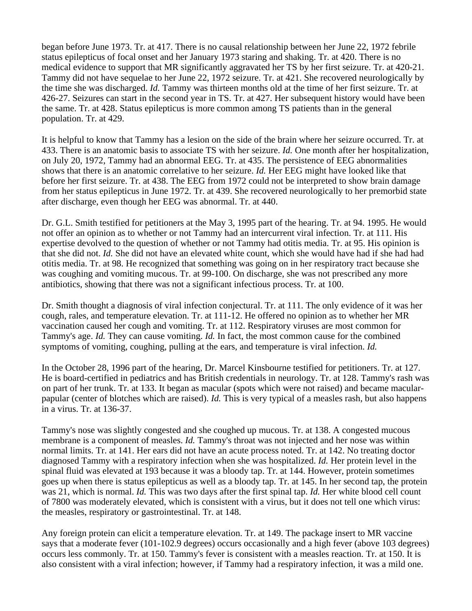began before June 1973. Tr. at 417. There is no causal relationship between her June 22, 1972 febrile status epilepticus of focal onset and her January 1973 staring and shaking. Tr. at 420. There is no medical evidence to support that MR significantly aggravated her TS by her first seizure. Tr. at 420-21. Tammy did not have sequelae to her June 22, 1972 seizure. Tr. at 421. She recovered neurologically by the time she was discharged. *Id.* Tammy was thirteen months old at the time of her first seizure. Tr. at 426-27. Seizures can start in the second year in TS. Tr. at 427. Her subsequent history would have been the same. Tr. at 428. Status epilepticus is more common among TS patients than in the general population. Tr. at 429.

It is helpful to know that Tammy has a lesion on the side of the brain where her seizure occurred. Tr. at 433. There is an anatomic basis to associate TS with her seizure. *Id.* One month after her hospitalization, on July 20, 1972, Tammy had an abnormal EEG. Tr. at 435. The persistence of EEG abnormalities shows that there is an anatomic correlative to her seizure. *Id.* Her EEG might have looked like that before her first seizure. Tr. at 438. The EEG from 1972 could not be interpreted to show brain damage from her status epilepticus in June 1972. Tr. at 439. She recovered neurologically to her premorbid state after discharge, even though her EEG was abnormal. Tr. at 440.

Dr. G.L. Smith testified for petitioners at the May 3, 1995 part of the hearing. Tr. at 94. 1995. He would not offer an opinion as to whether or not Tammy had an intercurrent viral infection. Tr. at 111. His expertise devolved to the question of whether or not Tammy had otitis media. Tr. at 95. His opinion is that she did not. *Id.* She did not have an elevated white count, which she would have had if she had had otitis media. Tr. at 98. He recognized that something was going on in her respiratory tract because she was coughing and vomiting mucous. Tr. at 99-100. On discharge, she was not prescribed any more antibiotics, showing that there was not a significant infectious process. Tr. at 100.

Dr. Smith thought a diagnosis of viral infection conjectural. Tr. at 111. The only evidence of it was her cough, rales, and temperature elevation. Tr. at 111-12. He offered no opinion as to whether her MR vaccination caused her cough and vomiting. Tr. at 112. Respiratory viruses are most common for Tammy's age. *Id.* They can cause vomiting. *Id.* In fact, the most common cause for the combined symptoms of vomiting, coughing, pulling at the ears, and temperature is viral infection. *Id.*

In the October 28, 1996 part of the hearing, Dr. Marcel Kinsbourne testified for petitioners. Tr. at 127. He is board-certified in pediatrics and has British credentials in neurology. Tr. at 128. Tammy's rash was on part of her trunk. Tr. at 133. It began as macular (spots which were not raised) and became macularpapular (center of blotches which are raised). *Id.* This is very typical of a measles rash, but also happens in a virus. Tr. at 136-37.

Tammy's nose was slightly congested and she coughed up mucous. Tr. at 138. A congested mucous membrane is a component of measles. *Id.* Tammy's throat was not injected and her nose was within normal limits. Tr. at 141. Her ears did not have an acute process noted. Tr. at 142. No treating doctor diagnosed Tammy with a respiratory infection when she was hospitalized. *Id.* Her protein level in the spinal fluid was elevated at 193 because it was a bloody tap. Tr. at 144. However, protein sometimes goes up when there is status epilepticus as well as a bloody tap. Tr. at 145. In her second tap, the protein was 21, which is normal. *Id.* This was two days after the first spinal tap. *Id.* Her white blood cell count of 7800 was moderately elevated, which is consistent with a virus, but it does not tell one which virus: the measles, respiratory or gastrointestinal. Tr. at 148.

Any foreign protein can elicit a temperature elevation. Tr. at 149. The package insert to MR vaccine says that a moderate fever (101-102.9 degrees) occurs occasionally and a high fever (above 103 degrees) occurs less commonly. Tr. at 150. Tammy's fever is consistent with a measles reaction. Tr. at 150. It is also consistent with a viral infection; however, if Tammy had a respiratory infection, it was a mild one.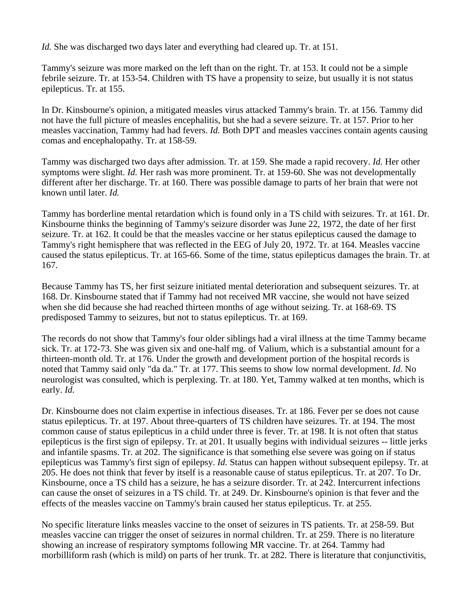*Id.* She was discharged two days later and everything had cleared up. Tr. at 151.

Tammy's seizure was more marked on the left than on the right. Tr. at 153. It could not be a simple febrile seizure. Tr. at 153-54. Children with TS have a propensity to seize, but usually it is not status epilepticus. Tr. at 155.

In Dr. Kinsbourne's opinion, a mitigated measles virus attacked Tammy's brain. Tr. at 156. Tammy did not have the full picture of measles encephalitis, but she had a severe seizure. Tr. at 157. Prior to her measles vaccination, Tammy had had fevers. *Id.* Both DPT and measles vaccines contain agents causing comas and encephalopathy. Tr. at 158-59.

Tammy was discharged two days after admission. Tr. at 159. She made a rapid recovery. *Id.* Her other symptoms were slight. *Id.* Her rash was more prominent. Tr. at 159-60. She was not developmentally different after her discharge. Tr. at 160. There was possible damage to parts of her brain that were not known until later. *Id.*

Tammy has borderline mental retardation which is found only in a TS child with seizures. Tr. at 161. Dr. Kinsbourne thinks the beginning of Tammy's seizure disorder was June 22, 1972, the date of her first seizure. Tr. at 162. It could be that the measles vaccine or her status epilepticus caused the damage to Tammy's right hemisphere that was reflected in the EEG of July 20, 1972. Tr. at 164. Measles vaccine caused the status epilepticus. Tr. at 165-66. Some of the time, status epilepticus damages the brain. Tr. at 167.

Because Tammy has TS, her first seizure initiated mental deterioration and subsequent seizures. Tr. at 168. Dr. Kinsbourne stated that if Tammy had not received MR vaccine, she would not have seized when she did because she had reached thirteen months of age without seizing. Tr. at 168-69. TS predisposed Tammy to seizures, but not to status epilepticus. Tr. at 169.

The records do not show that Tammy's four older siblings had a viral illness at the time Tammy became sick. Tr. at 172-73. She was given six and one-half mg. of Valium, which is a substantial amount for a thirteen-month old. Tr. at 176. Under the growth and development portion of the hospital records is noted that Tammy said only "da da." Tr. at 177. This seems to show low normal development. *Id.* No neurologist was consulted, which is perplexing. Tr. at 180. Yet, Tammy walked at ten months, which is early. *Id.*

Dr. Kinsbourne does not claim expertise in infectious diseases. Tr. at 186. Fever per se does not cause status epilepticus. Tr. at 197. About three-quarters of TS children have seizures. Tr. at 194. The most common cause of status epilepticus in a child under three is fever. Tr. at 198. It is not often that status epilepticus is the first sign of epilepsy. Tr. at 201. It usually begins with individual seizures -- little jerks and infantile spasms. Tr. at 202. The significance is that something else severe was going on if status epilepticus was Tammy's first sign of epilepsy. *Id.* Status can happen without subsequent epilepsy. Tr. at 205. He does not think that fever by itself is a reasonable cause of status epilepticus. Tr. at 207. To Dr. Kinsbourne, once a TS child has a seizure, he has a seizure disorder. Tr. at 242. Intercurrent infections can cause the onset of seizures in a TS child. Tr. at 249. Dr. Kinsbourne's opinion is that fever and the effects of the measles vaccine on Tammy's brain caused her status epilepticus. Tr. at 255.

No specific literature links measles vaccine to the onset of seizures in TS patients. Tr. at 258-59. But measles vaccine can trigger the onset of seizures in normal children. Tr. at 259. There is no literature showing an increase of respiratory symptoms following MR vaccine. Tr. at 264. Tammy had morbilliform rash (which is mild) on parts of her trunk. Tr. at 282. There is literature that conjunctivitis,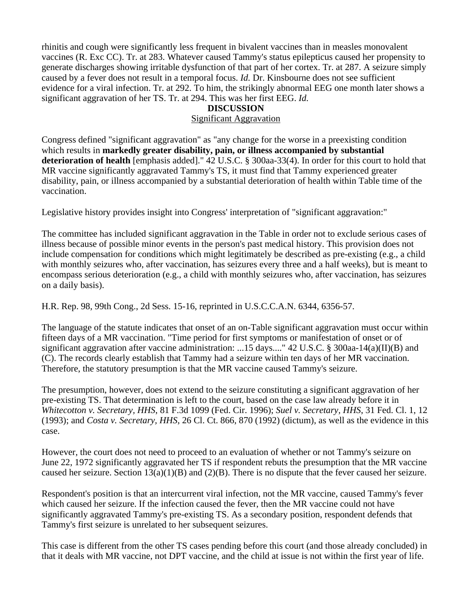rhinitis and cough were significantly less frequent in bivalent vaccines than in measles monovalent vaccines (R. Exc CC). Tr. at 283. Whatever caused Tammy's status epilepticus caused her propensity to generate discharges showing irritable dysfunction of that part of her cortex. Tr. at 287. A seizure simply caused by a fever does not result in a temporal focus. *Id.* Dr. Kinsbourne does not see sufficient evidence for a viral infection. Tr. at 292. To him, the strikingly abnormal EEG one month later shows a significant aggravation of her TS. Tr. at 294. This was her first EEG. *Id.*

### **DISCUSSION**

### Significant Aggravation

Congress defined "significant aggravation" as "any change for the worse in a preexisting condition which results in **markedly greater disability, pain, or illness accompanied by substantial deterioration of health** [emphasis added]." 42 U.S.C. § 300aa-33(4). In order for this court to hold that MR vaccine significantly aggravated Tammy's TS, it must find that Tammy experienced greater disability, pain, or illness accompanied by a substantial deterioration of health within Table time of the vaccination.

Legislative history provides insight into Congress' interpretation of "significant aggravation:"

The committee has included significant aggravation in the Table in order not to exclude serious cases of illness because of possible minor events in the person's past medical history. This provision does not include compensation for conditions which might legitimately be described as pre-existing (e.g., a child with monthly seizures who, after vaccination, has seizures every three and a half weeks), but is meant to encompass serious deterioration (e.g., a child with monthly seizures who, after vaccination, has seizures on a daily basis).

H.R. Rep. 98, 99th Cong., 2d Sess. 15-16, reprinted in U.S.C.C.A.N. 6344, 6356-57.

The language of the statute indicates that onset of an on-Table significant aggravation must occur within fifteen days of a MR vaccination. "Time period for first symptoms or manifestation of onset or of significant aggravation after vaccine administration: ...15 days...." 42 U.S.C. § 300aa-14(a)(II)(B) and (C). The records clearly establish that Tammy had a seizure within ten days of her MR vaccination. Therefore, the statutory presumption is that the MR vaccine caused Tammy's seizure.

The presumption, however, does not extend to the seizure constituting a significant aggravation of her pre-existing TS. That determination is left to the court, based on the case law already before it in *Whitecotton v. Secretary, HHS*, 81 F.3d 1099 (Fed. Cir. 1996); *Suel v. Secretary, HHS*, 31 Fed. Cl. 1, 12 (1993); and *Costa v. Secretary, HHS*, 26 Cl. Ct. 866, 870 (1992) (dictum), as well as the evidence in this case.

However, the court does not need to proceed to an evaluation of whether or not Tammy's seizure on June 22, 1972 significantly aggravated her TS if respondent rebuts the presumption that the MR vaccine caused her seizure. Section 13(a)(1)(B) and (2)(B). There is no dispute that the fever caused her seizure.

Respondent's position is that an intercurrent viral infection, not the MR vaccine, caused Tammy's fever which caused her seizure. If the infection caused the fever, then the MR vaccine could not have significantly aggravated Tammy's pre-existing TS. As a secondary position, respondent defends that Tammy's first seizure is unrelated to her subsequent seizures.

This case is different from the other TS cases pending before this court (and those already concluded) in that it deals with MR vaccine, not DPT vaccine, and the child at issue is not within the first year of life.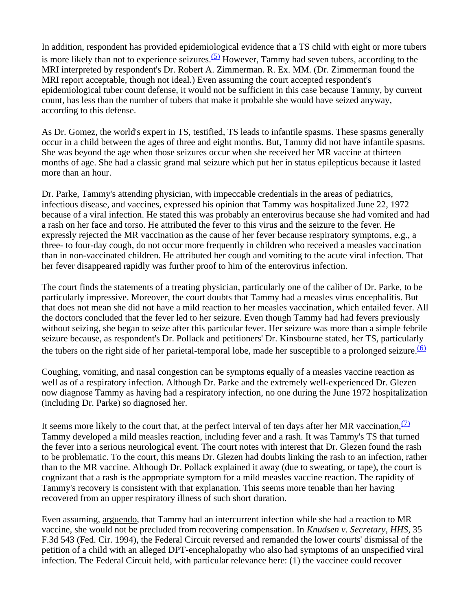In addition, respondent has provided epidemiological evidence that a TS child with eight or more tubers is more likely than not to experience seizures. $(5)$  However, Tammy had seven tubers, according to the MRI interpreted by respondent's Dr. Robert A. Zimmerman. R. Ex. MM. (Dr. Zimmerman found the MRI report acceptable, though not ideal.) Even assuming the court accepted respondent's epidemiological tuber count defense, it would not be sufficient in this case because Tammy, by current count, has less than the number of tubers that make it probable she would have seized anyway, according to this defense.

As Dr. Gomez, the world's expert in TS, testified, TS leads to infantile spasms. These spasms generally occur in a child between the ages of three and eight months. But, Tammy did not have infantile spasms. She was beyond the age when those seizures occur when she received her MR vaccine at thirteen months of age. She had a classic grand mal seizure which put her in status epilepticus because it lasted more than an hour.

Dr. Parke, Tammy's attending physician, with impeccable credentials in the areas of pediatrics, infectious disease, and vaccines, expressed his opinion that Tammy was hospitalized June 22, 1972 because of a viral infection. He stated this was probably an enterovirus because she had vomited and had a rash on her face and torso. He attributed the fever to this virus and the seizure to the fever. He expressly rejected the MR vaccination as the cause of her fever because respiratory symptoms, e.g., a three- to four-day cough, do not occur more frequently in children who received a measles vaccination than in non-vaccinated children. He attributed her cough and vomiting to the acute viral infection. That her fever disappeared rapidly was further proof to him of the enterovirus infection.

The court finds the statements of a treating physician, particularly one of the caliber of Dr. Parke, to be particularly impressive. Moreover, the court doubts that Tammy had a measles virus encephalitis. But that does not mean she did not have a mild reaction to her measles vaccination, which entailed fever. All the doctors concluded that the fever led to her seizure. Even though Tammy had had fevers previously without seizing, she began to seize after this particular fever. Her seizure was more than a simple febrile seizure because, as respondent's Dr. Pollack and petitioners' Dr. Kinsbourne stated, her TS, particularly the tubers on the right side of her parietal-temporal lobe, made her susceptible to a prolonged seizure. $\frac{(6)}{2}$ 

Coughing, vomiting, and nasal congestion can be symptoms equally of a measles vaccine reaction as well as of a respiratory infection. Although Dr. Parke and the extremely well-experienced Dr. Glezen now diagnose Tammy as having had a respiratory infection, no one during the June 1972 hospitalization (including Dr. Parke) so diagnosed her.

It seems more likely to the court that, at the perfect interval of ten days after her MR vaccination,  $\frac{7}{2}$ Tammy developed a mild measles reaction, including fever and a rash. It was Tammy's TS that turned the fever into a serious neurological event. The court notes with interest that Dr. Glezen found the rash to be problematic. To the court, this means Dr. Glezen had doubts linking the rash to an infection, rather than to the MR vaccine. Although Dr. Pollack explained it away (due to sweating, or tape), the court is cognizant that a rash is the appropriate symptom for a mild measles vaccine reaction. The rapidity of Tammy's recovery is consistent with that explanation. This seems more tenable than her having recovered from an upper respiratory illness of such short duration.

Even assuming, arguendo, that Tammy had an intercurrent infection while she had a reaction to MR vaccine, she would not be precluded from recovering compensation. In *Knudsen v. Secretary, HHS,* 35 F.3d 543 (Fed. Cir. 1994), the Federal Circuit reversed and remanded the lower courts' dismissal of the petition of a child with an alleged DPT-encephalopathy who also had symptoms of an unspecified viral infection. The Federal Circuit held, with particular relevance here: (1) the vaccinee could recover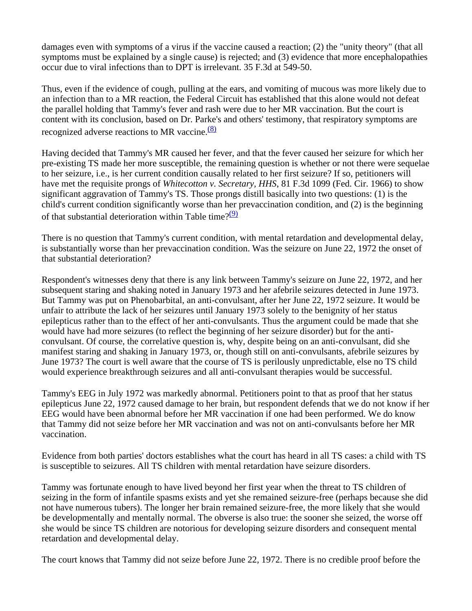damages even with symptoms of a virus if the vaccine caused a reaction; (2) the "unity theory" (that all symptoms must be explained by a single cause) is rejected; and (3) evidence that more encephalopathies occur due to viral infections than to DPT is irrelevant. 35 F.3d at 549-50.

Thus, even if the evidence of cough, pulling at the ears, and vomiting of mucous was more likely due to an infection than to a MR reaction, the Federal Circuit has established that this alone would not defeat the parallel holding that Tammy's fever and rash were due to her MR vaccination. But the court is content with its conclusion, based on Dr. Parke's and others' testimony, that respiratory symptoms are recognized adverse reactions to MR vaccine. $(8)$ 

Having decided that Tammy's MR caused her fever, and that the fever caused her seizure for which her pre-existing TS made her more susceptible, the remaining question is whether or not there were sequelae to her seizure, i.e., is her current condition causally related to her first seizure? If so, petitioners will have met the requisite prongs of *Whitecotton v. Secretary, HHS*, 81 F.3d 1099 (Fed. Cir. 1966) to show significant aggravation of Tammy's TS. Those prongs distill basically into two questions: (1) is the child's current condition significantly worse than her prevaccination condition, and (2) is the beginning of that substantial deterioration within Table time? $(9)$ 

There is no question that Tammy's current condition, with mental retardation and developmental delay, is substantially worse than her prevaccination condition. Was the seizure on June 22, 1972 the onset of that substantial deterioration?

Respondent's witnesses deny that there is any link between Tammy's seizure on June 22, 1972, and her subsequent staring and shaking noted in January 1973 and her afebrile seizures detected in June 1973. But Tammy was put on Phenobarbital, an anti-convulsant, after her June 22, 1972 seizure. It would be unfair to attribute the lack of her seizures until January 1973 solely to the benignity of her status epilepticus rather than to the effect of her anti-convulsants. Thus the argument could be made that she would have had more seizures (to reflect the beginning of her seizure disorder) but for the anticonvulsant. Of course, the correlative question is, why, despite being on an anti-convulsant, did she manifest staring and shaking in January 1973, or, though still on anti-convulsants, afebrile seizures by June 1973? The court is well aware that the course of TS is perilously unpredictable, else no TS child would experience breakthrough seizures and all anti-convulsant therapies would be successful.

Tammy's EEG in July 1972 was markedly abnormal. Petitioners point to that as proof that her status epilepticus June 22, 1972 caused damage to her brain, but respondent defends that we do not know if her EEG would have been abnormal before her MR vaccination if one had been performed. We do know that Tammy did not seize before her MR vaccination and was not on anti-convulsants before her MR vaccination.

Evidence from both parties' doctors establishes what the court has heard in all TS cases: a child with TS is susceptible to seizures. All TS children with mental retardation have seizure disorders.

Tammy was fortunate enough to have lived beyond her first year when the threat to TS children of seizing in the form of infantile spasms exists and yet she remained seizure-free (perhaps because she did not have numerous tubers). The longer her brain remained seizure-free, the more likely that she would be developmentally and mentally normal. The obverse is also true: the sooner she seized, the worse off she would be since TS children are notorious for developing seizure disorders and consequent mental retardation and developmental delay.

The court knows that Tammy did not seize before June 22, 1972. There is no credible proof before the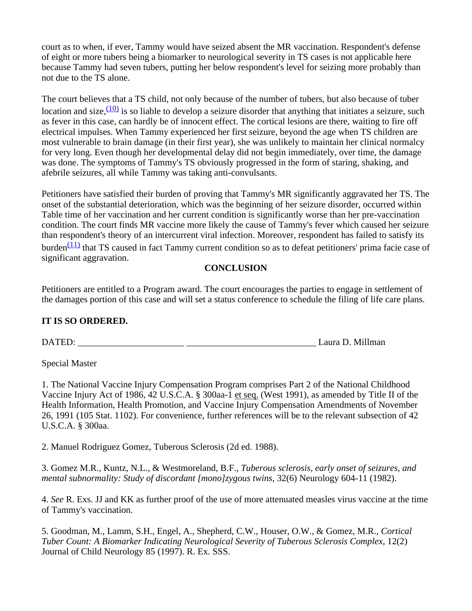court as to when, if ever, Tammy would have seized absent the MR vaccination. Respondent's defense of eight or more tubers being a biomarker to neurological severity in TS cases is not applicable here because Tammy had seven tubers, putting her below respondent's level for seizing more probably than not due to the TS alone.

The court believes that a TS child, not only because of the number of tubers, but also because of tuber location and size,  $\frac{(10)}{10}$  is so liable to develop a seizure disorder that anything that initiates a seizure, such as fever in this case, can hardly be of innocent effect. The cortical lesions are there, waiting to fire off electrical impulses. When Tammy experienced her first seizure, beyond the age when TS children are most vulnerable to brain damage (in their first year), she was unlikely to maintain her clinical normalcy for very long. Even though her developmental delay did not begin immediately, over time, the damage was done. The symptoms of Tammy's TS obviously progressed in the form of staring, shaking, and afebrile seizures, all while Tammy was taking anti-convulsants.

Petitioners have satisfied their burden of proving that Tammy's MR significantly aggravated her TS. The onset of the substantial deterioration, which was the beginning of her seizure disorder, occurred within Table time of her vaccination and her current condition is significantly worse than her pre-vaccination condition. The court finds MR vaccine more likely the cause of Tammy's fever which caused her seizure than respondent's theory of an intercurrent viral infection. Moreover, respondent has failed to satisfy its burden $\frac{(11)}{11}$  that TS caused in fact Tammy current condition so as to defeat petitioners' prima facie case of significant aggravation.

# **CONCLUSION**

Petitioners are entitled to a Program award. The court encourages the parties to engage in settlement of the damages portion of this case and will set a status conference to schedule the filing of life care plans.

# **IT IS SO ORDERED.**

DATED: Laura D. Millman

Special Master

1. The National Vaccine Injury Compensation Program comprises Part 2 of the National Childhood Vaccine Injury Act of 1986, 42 U.S.C.A. § 300aa-1 et seq. (West 1991), as amended by Title II of the Health Information, Health Promotion, and Vaccine Injury Compensation Amendments of November 26, 1991 (105 Stat. 1102). For convenience, further references will be to the relevant subsection of 42 U.S.C.A. § 300aa.

2. Manuel Rodriguez Gomez, Tuberous Sclerosis (2d ed. 1988).

3. Gomez M.R., Kuntz, N.L., & Westmoreland, B.F., *Tuberous sclerosis, early onset of seizures, and mental subnormality: Study of discordant [mono]zygous twins*, 32(6) Neurology 604-11 (1982).

4. *See* R. Exs. JJ and KK as further proof of the use of more attenuated measles virus vaccine at the time of Tammy's vaccination.

5. Goodman, M., Lamm, S.H., Engel, A., Shepherd, C.W., Houser, O.W., & Gomez, M.R., *Cortical Tuber Count: A Biomarker Indicating Neurological Severity of Tuberous Sclerosis Complex*, 12(2) Journal of Child Neurology 85 (1997). R. Ex. SSS.